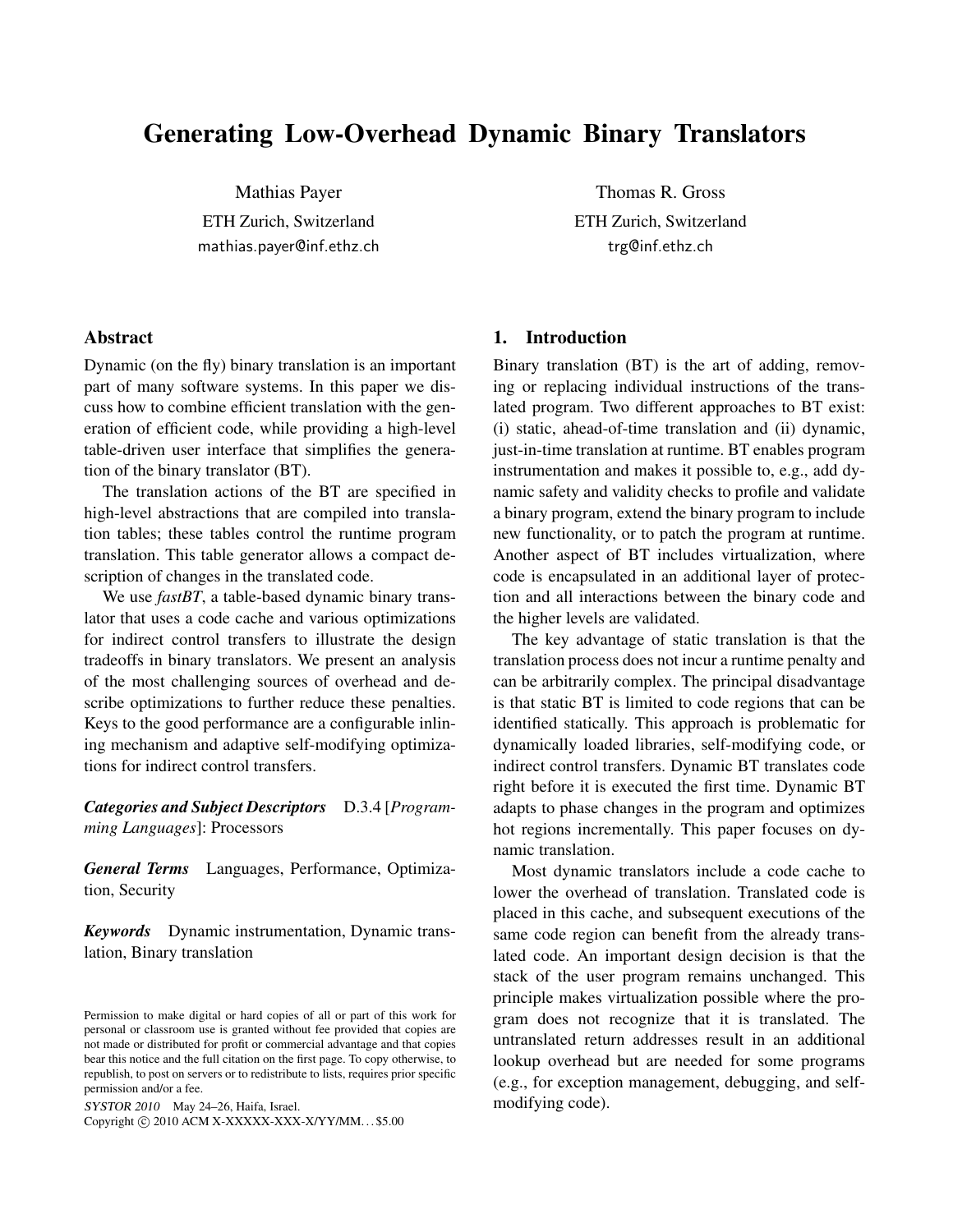# Generating Low-Overhead Dynamic Binary Translators

Mathias Payer ETH Zurich, Switzerland mathias.payer@inf.ethz.ch

### Abstract

Dynamic (on the fly) binary translation is an important part of many software systems. In this paper we discuss how to combine efficient translation with the generation of efficient code, while providing a high-level table-driven user interface that simplifies the generation of the binary translator (BT).

The translation actions of the BT are specified in high-level abstractions that are compiled into translation tables; these tables control the runtime program translation. This table generator allows a compact description of changes in the translated code.

We use *fastBT*, a table-based dynamic binary translator that uses a code cache and various optimizations for indirect control transfers to illustrate the design tradeoffs in binary translators. We present an analysis of the most challenging sources of overhead and describe optimizations to further reduce these penalties. Keys to the good performance are a configurable inlining mechanism and adaptive self-modifying optimizations for indirect control transfers.

*Categories and Subject Descriptors* D.3.4 [*Programming Languages*]: Processors

*General Terms* Languages, Performance, Optimization, Security

*Keywords* Dynamic instrumentation, Dynamic translation, Binary translation

SYSTOR 2010 May 24–26, Haifa, Israel.

Copyright  $\odot$  2010 ACM X-XXXXX-XXX-X/YY/MM...\$5.00

Thomas R. Gross ETH Zurich, Switzerland trg@inf.ethz.ch

### 1. Introduction

Binary translation (BT) is the art of adding, removing or replacing individual instructions of the translated program. Two different approaches to BT exist: (i) static, ahead-of-time translation and (ii) dynamic, just-in-time translation at runtime. BT enables program instrumentation and makes it possible to, e.g., add dynamic safety and validity checks to profile and validate a binary program, extend the binary program to include new functionality, or to patch the program at runtime. Another aspect of BT includes virtualization, where code is encapsulated in an additional layer of protection and all interactions between the binary code and the higher levels are validated.

The key advantage of static translation is that the translation process does not incur a runtime penalty and can be arbitrarily complex. The principal disadvantage is that static BT is limited to code regions that can be identified statically. This approach is problematic for dynamically loaded libraries, self-modifying code, or indirect control transfers. Dynamic BT translates code right before it is executed the first time. Dynamic BT adapts to phase changes in the program and optimizes hot regions incrementally. This paper focuses on dynamic translation.

Most dynamic translators include a code cache to lower the overhead of translation. Translated code is placed in this cache, and subsequent executions of the same code region can benefit from the already translated code. An important design decision is that the stack of the user program remains unchanged. This principle makes virtualization possible where the program does not recognize that it is translated. The untranslated return addresses result in an additional lookup overhead but are needed for some programs (e.g., for exception management, debugging, and selfmodifying code).

Permission to make digital or hard copies of all or part of this work for personal or classroom use is granted without fee provided that copies are not made or distributed for profit or commercial advantage and that copies bear this notice and the full citation on the first page. To copy otherwise, to republish, to post on servers or to redistribute to lists, requires prior specific permission and/or a fee.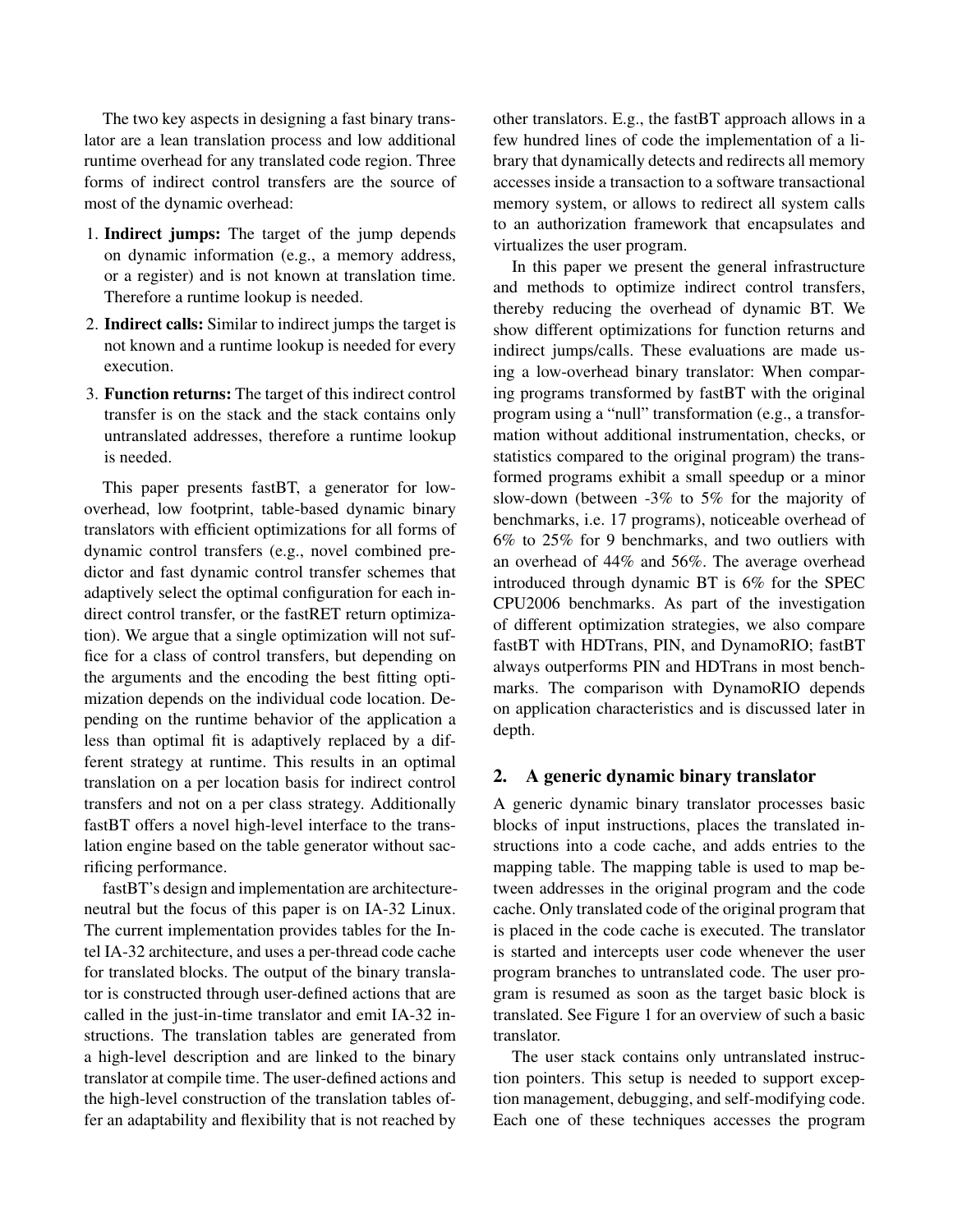The two key aspects in designing a fast binary translator are a lean translation process and low additional runtime overhead for any translated code region. Three forms of indirect control transfers are the source of most of the dynamic overhead:

- 1. Indirect jumps: The target of the jump depends on dynamic information (e.g., a memory address, or a register) and is not known at translation time. Therefore a runtime lookup is needed.
- 2. Indirect calls: Similar to indirect jumps the target is not known and a runtime lookup is needed for every execution.
- 3. Function returns: The target of this indirect control transfer is on the stack and the stack contains only untranslated addresses, therefore a runtime lookup is needed.

This paper presents fastBT, a generator for lowoverhead, low footprint, table-based dynamic binary translators with efficient optimizations for all forms of dynamic control transfers (e.g., novel combined predictor and fast dynamic control transfer schemes that adaptively select the optimal configuration for each indirect control transfer, or the fastRET return optimization). We argue that a single optimization will not suffice for a class of control transfers, but depending on the arguments and the encoding the best fitting optimization depends on the individual code location. Depending on the runtime behavior of the application a less than optimal fit is adaptively replaced by a different strategy at runtime. This results in an optimal translation on a per location basis for indirect control transfers and not on a per class strategy. Additionally fastBT offers a novel high-level interface to the translation engine based on the table generator without sacrificing performance.

fastBT's design and implementation are architectureneutral but the focus of this paper is on IA-32 Linux. The current implementation provides tables for the Intel IA-32 architecture, and uses a per-thread code cache for translated blocks. The output of the binary translator is constructed through user-defined actions that are called in the just-in-time translator and emit IA-32 instructions. The translation tables are generated from a high-level description and are linked to the binary translator at compile time. The user-defined actions and the high-level construction of the translation tables offer an adaptability and flexibility that is not reached by

other translators. E.g., the fastBT approach allows in a few hundred lines of code the implementation of a library that dynamically detects and redirects all memory accesses inside a transaction to a software transactional memory system, or allows to redirect all system calls to an authorization framework that encapsulates and virtualizes the user program.

In this paper we present the general infrastructure and methods to optimize indirect control transfers, thereby reducing the overhead of dynamic BT. We show different optimizations for function returns and indirect jumps/calls. These evaluations are made using a low-overhead binary translator: When comparing programs transformed by fastBT with the original program using a "null" transformation (e.g., a transformation without additional instrumentation, checks, or statistics compared to the original program) the transformed programs exhibit a small speedup or a minor slow-down (between -3% to 5% for the majority of benchmarks, i.e. 17 programs), noticeable overhead of 6% to 25% for 9 benchmarks, and two outliers with an overhead of 44% and 56%. The average overhead introduced through dynamic BT is 6% for the SPEC CPU2006 benchmarks. As part of the investigation of different optimization strategies, we also compare fastBT with HDTrans, PIN, and DynamoRIO; fastBT always outperforms PIN and HDTrans in most benchmarks. The comparison with DynamoRIO depends on application characteristics and is discussed later in depth.

### 2. A generic dynamic binary translator

A generic dynamic binary translator processes basic blocks of input instructions, places the translated instructions into a code cache, and adds entries to the mapping table. The mapping table is used to map between addresses in the original program and the code cache. Only translated code of the original program that is placed in the code cache is executed. The translator is started and intercepts user code whenever the user program branches to untranslated code. The user program is resumed as soon as the target basic block is translated. See Figure 1 for an overview of such a basic translator.

The user stack contains only untranslated instruction pointers. This setup is needed to support exception management, debugging, and self-modifying code. Each one of these techniques accesses the program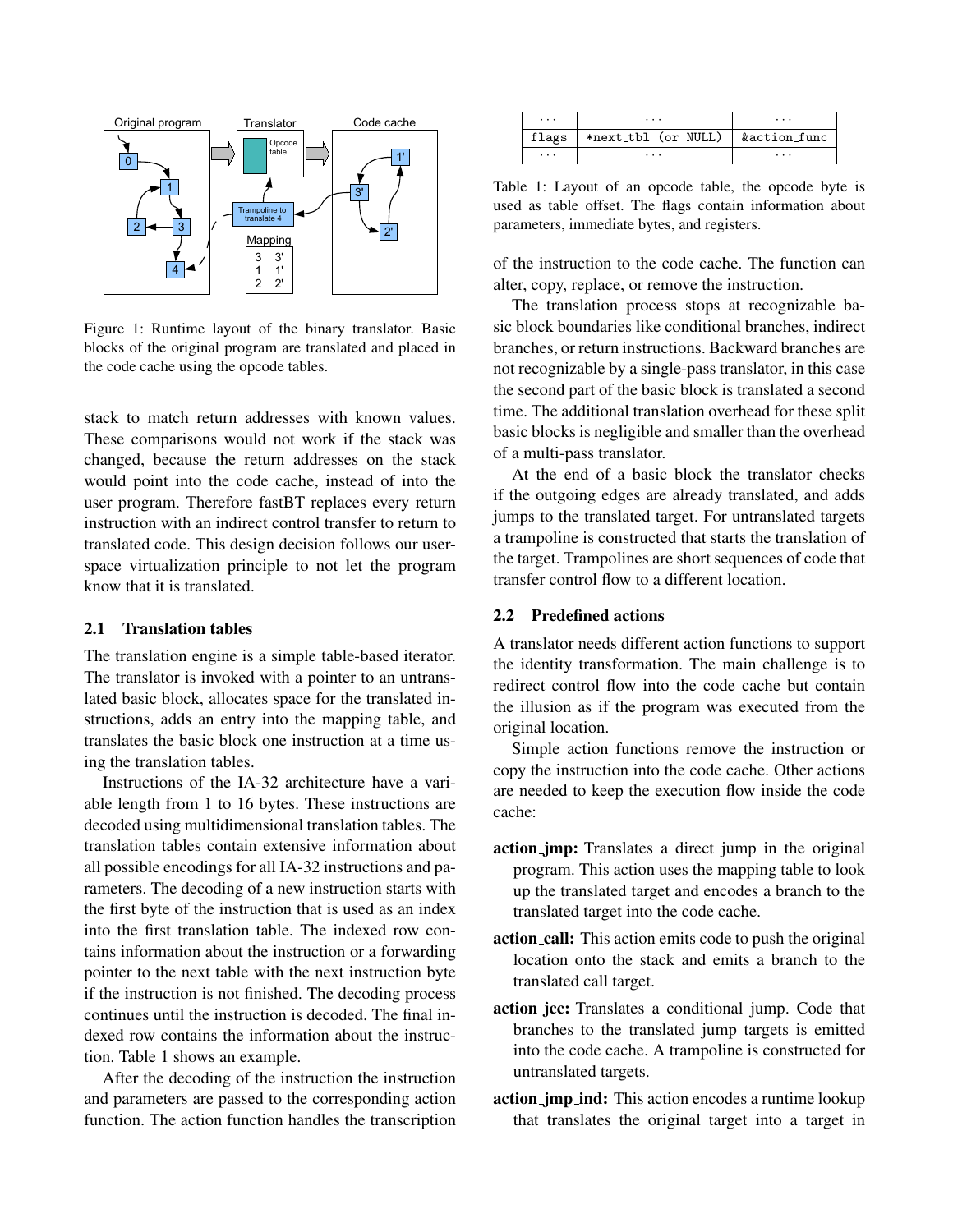

Figure 1: Runtime layout of the binary translator. Basic blocks of the original program are translated and placed in the code cache using the opcode tables.

stack to match return addresses with known values. These comparisons would not work if the stack was changed, because the return addresses on the stack would point into the code cache, instead of into the user program. Therefore fastBT replaces every return instruction with an indirect control transfer to return to translated code. This design decision follows our userspace virtualization principle to not let the program know that it is translated.

### 2.1 Translation tables

The translation engine is a simple table-based iterator. The translator is invoked with a pointer to an untranslated basic block, allocates space for the translated instructions, adds an entry into the mapping table, and translates the basic block one instruction at a time using the translation tables.

Instructions of the IA-32 architecture have a variable length from 1 to 16 bytes. These instructions are decoded using multidimensional translation tables. The translation tables contain extensive information about all possible encodings for all IA-32 instructions and parameters. The decoding of a new instruction starts with the first byte of the instruction that is used as an index into the first translation table. The indexed row contains information about the instruction or a forwarding pointer to the next table with the next instruction byte if the instruction is not finished. The decoding process continues until the instruction is decoded. The final indexed row contains the information about the instruction. Table 1 shows an example.

After the decoding of the instruction the instruction and parameters are passed to the corresponding action function. The action function handles the transcription

| .             | .                   | $\cdots$     |
|---------------|---------------------|--------------|
| flags $\vert$ | *next_tbl (or NULL) | &action_func |
| .             | .                   | .            |

Table 1: Layout of an opcode table, the opcode byte is used as table offset. The flags contain information about parameters, immediate bytes, and registers.

of the instruction to the code cache. The function can alter, copy, replace, or remove the instruction.

The translation process stops at recognizable basic block boundaries like conditional branches, indirect branches, or return instructions. Backward branches are not recognizable by a single-pass translator, in this case the second part of the basic block is translated a second time. The additional translation overhead for these split basic blocks is negligible and smaller than the overhead of a multi-pass translator.

At the end of a basic block the translator checks if the outgoing edges are already translated, and adds jumps to the translated target. For untranslated targets a trampoline is constructed that starts the translation of the target. Trampolines are short sequences of code that transfer control flow to a different location.

### 2.2 Predefined actions

A translator needs different action functions to support the identity transformation. The main challenge is to redirect control flow into the code cache but contain the illusion as if the program was executed from the original location.

Simple action functions remove the instruction or copy the instruction into the code cache. Other actions are needed to keep the execution flow inside the code cache:

- action jmp: Translates a direct jump in the original program. This action uses the mapping table to look up the translated target and encodes a branch to the translated target into the code cache.
- action call: This action emits code to push the original location onto the stack and emits a branch to the translated call target.
- action jcc: Translates a conditional jump. Code that branches to the translated jump targets is emitted into the code cache. A trampoline is constructed for untranslated targets.
- **action jmp ind:** This action encodes a runtime lookup that translates the original target into a target in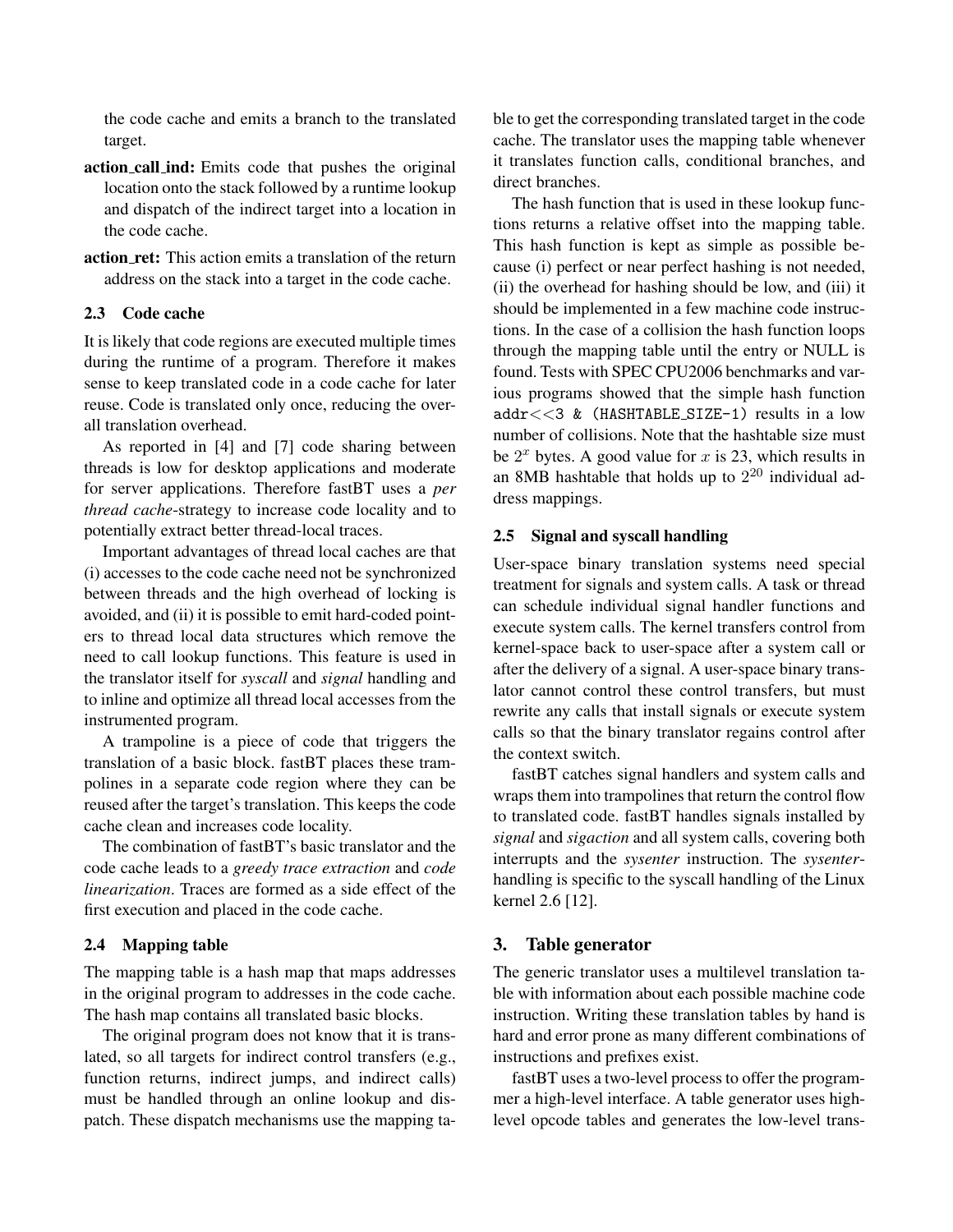the code cache and emits a branch to the translated target.

- action call ind: Emits code that pushes the original location onto the stack followed by a runtime lookup and dispatch of the indirect target into a location in the code cache.
- action ret: This action emits a translation of the return address on the stack into a target in the code cache.

### 2.3 Code cache

It is likely that code regions are executed multiple times during the runtime of a program. Therefore it makes sense to keep translated code in a code cache for later reuse. Code is translated only once, reducing the overall translation overhead.

As reported in [4] and [7] code sharing between threads is low for desktop applications and moderate for server applications. Therefore fastBT uses a *per thread cache*-strategy to increase code locality and to potentially extract better thread-local traces.

Important advantages of thread local caches are that (i) accesses to the code cache need not be synchronized between threads and the high overhead of locking is avoided, and (ii) it is possible to emit hard-coded pointers to thread local data structures which remove the need to call lookup functions. This feature is used in the translator itself for *syscall* and *signal* handling and to inline and optimize all thread local accesses from the instrumented program.

A trampoline is a piece of code that triggers the translation of a basic block. fastBT places these trampolines in a separate code region where they can be reused after the target's translation. This keeps the code cache clean and increases code locality.

The combination of fastBT's basic translator and the code cache leads to a *greedy trace extraction* and *code linearization*. Traces are formed as a side effect of the first execution and placed in the code cache.

# 2.4 Mapping table

The mapping table is a hash map that maps addresses in the original program to addresses in the code cache. The hash map contains all translated basic blocks.

The original program does not know that it is translated, so all targets for indirect control transfers (e.g., function returns, indirect jumps, and indirect calls) must be handled through an online lookup and dispatch. These dispatch mechanisms use the mapping table to get the corresponding translated target in the code cache. The translator uses the mapping table whenever it translates function calls, conditional branches, and direct branches.

The hash function that is used in these lookup functions returns a relative offset into the mapping table. This hash function is kept as simple as possible because (i) perfect or near perfect hashing is not needed, (ii) the overhead for hashing should be low, and (iii) it should be implemented in a few machine code instructions. In the case of a collision the hash function loops through the mapping table until the entry or NULL is found. Tests with SPEC CPU2006 benchmarks and various programs showed that the simple hash function addr<<3 & (HASHTABLE SIZE-1) results in a low number of collisions. Note that the hashtable size must be  $2^x$  bytes. A good value for x is 23, which results in an 8MB hashtable that holds up to  $2^{20}$  individual address mappings.

### 2.5 Signal and syscall handling

User-space binary translation systems need special treatment for signals and system calls. A task or thread can schedule individual signal handler functions and execute system calls. The kernel transfers control from kernel-space back to user-space after a system call or after the delivery of a signal. A user-space binary translator cannot control these control transfers, but must rewrite any calls that install signals or execute system calls so that the binary translator regains control after the context switch.

fastBT catches signal handlers and system calls and wraps them into trampolines that return the control flow to translated code. fastBT handles signals installed by *signal* and *sigaction* and all system calls, covering both interrupts and the *sysenter* instruction. The *sysenter*handling is specific to the syscall handling of the Linux kernel 2.6 [12].

# 3. Table generator

The generic translator uses a multilevel translation table with information about each possible machine code instruction. Writing these translation tables by hand is hard and error prone as many different combinations of instructions and prefixes exist.

fastBT uses a two-level process to offer the programmer a high-level interface. A table generator uses highlevel opcode tables and generates the low-level trans-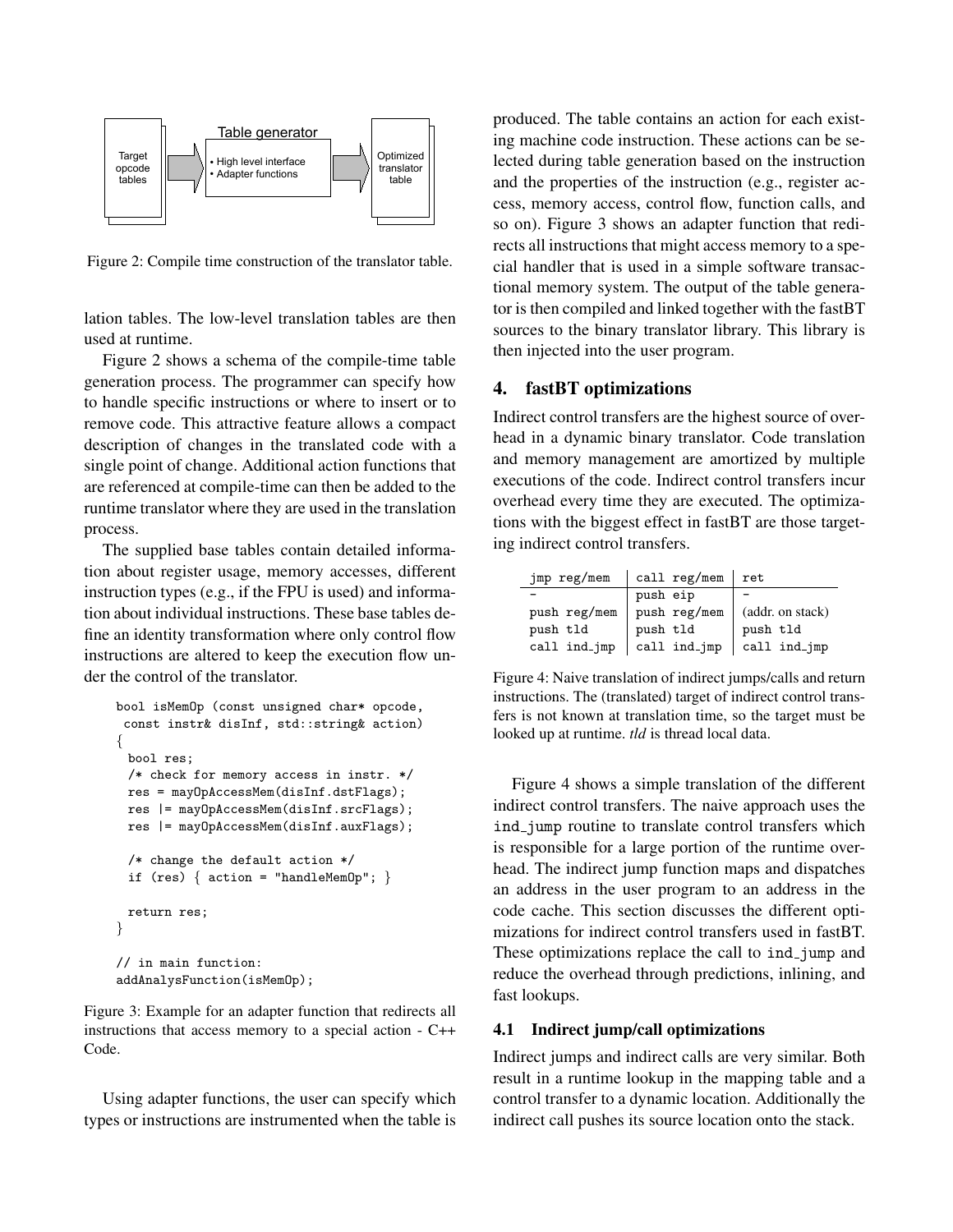

Figure 2: Compile time construction of the translator table.

lation tables. The low-level translation tables are then used at runtime.

Figure 2 shows a schema of the compile-time table generation process. The programmer can specify how to handle specific instructions or where to insert or to remove code. This attractive feature allows a compact description of changes in the translated code with a single point of change. Additional action functions that are referenced at compile-time can then be added to the runtime translator where they are used in the translation process.

The supplied base tables contain detailed information about register usage, memory accesses, different instruction types (e.g., if the FPU is used) and information about individual instructions. These base tables define an identity transformation where only control flow instructions are altered to keep the execution flow under the control of the translator.

```
bool isMemOp (const unsigned char* opcode,
 const instr& disInf, std::string& action)
{
 bool res;
 /* check for memory access in instr. */
 res = mayOpAccessMem(disInf.dstFlags);
 res |= mayOpAccessMem(disInf.srcFlags);
 res |= mayOpAccessMem(disInf.auxFlags);
 /* change the default action */
 if (res) \{ action = "handleMemOp"; \}return res;
}
// in main function:
addAnalysFunction(isMemOp);
```
Figure 3: Example for an adapter function that redirects all instructions that access memory to a special action - C++ Code.

Using adapter functions, the user can specify which types or instructions are instrumented when the table is

produced. The table contains an action for each existing machine code instruction. These actions can be selected during table generation based on the instruction and the properties of the instruction (e.g., register access, memory access, control flow, function calls, and so on). Figure 3 shows an adapter function that redirects all instructions that might access memory to a special handler that is used in a simple software transactional memory system. The output of the table generator is then compiled and linked together with the fastBT sources to the binary translator library. This library is then injected into the user program.

### 4. fastBT optimizations

Indirect control transfers are the highest source of overhead in a dynamic binary translator. Code translation and memory management are amortized by multiple executions of the code. Indirect control transfers incur overhead every time they are executed. The optimizations with the biggest effect in fastBT are those targeting indirect control transfers.

| jmp reg/mem  | call $reg/mem$   ret |                      |
|--------------|----------------------|----------------------|
|              | push eip             |                      |
| push reg/mem | push reg/mem         | (addr. on stack)     |
| push tld     | push tld             | push tld             |
| call ind_jmp | call ind_jmp         | $\vert$ call ind_jmp |

Figure 4: Naive translation of indirect jumps/calls and return instructions. The (translated) target of indirect control transfers is not known at translation time, so the target must be looked up at runtime. *tld* is thread local data.

Figure 4 shows a simple translation of the different indirect control transfers. The naive approach uses the ind jump routine to translate control transfers which is responsible for a large portion of the runtime overhead. The indirect jump function maps and dispatches an address in the user program to an address in the code cache. This section discusses the different optimizations for indirect control transfers used in fastBT. These optimizations replace the call to ind jump and reduce the overhead through predictions, inlining, and fast lookups.

#### 4.1 Indirect jump/call optimizations

Indirect jumps and indirect calls are very similar. Both result in a runtime lookup in the mapping table and a control transfer to a dynamic location. Additionally the indirect call pushes its source location onto the stack.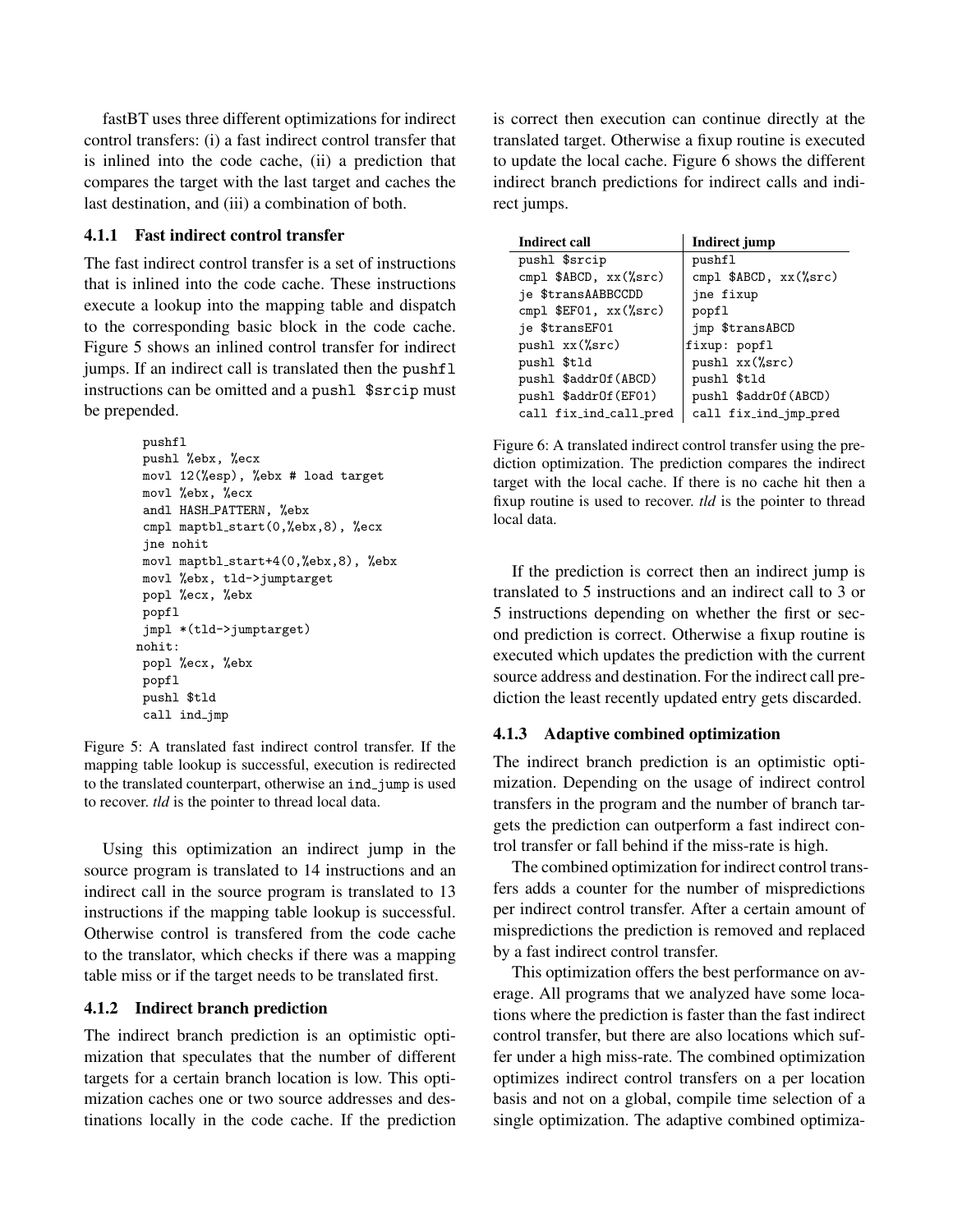fastBT uses three different optimizations for indirect control transfers: (i) a fast indirect control transfer that is inlined into the code cache, (ii) a prediction that compares the target with the last target and caches the last destination, and (iii) a combination of both.

# 4.1.1 Fast indirect control transfer

The fast indirect control transfer is a set of instructions that is inlined into the code cache. These instructions execute a lookup into the mapping table and dispatch to the corresponding basic block in the code cache. Figure 5 shows an inlined control transfer for indirect jumps. If an indirect call is translated then the pushfl instructions can be omitted and a pushl \$srcip must be prepended.

```
pushfl
 pushl %ebx, %ecx
movl 12(%esp), %ebx # load target
movl %ebx, %ecx
 andl HASH PATTERN, %ebx
 cmpl maptbl_start(0,%ebx,8), %ecx
jne nohit
movl maptbl_start+4(0,%ebx,8), %ebx
movl %ebx, tld->jumptarget
popl %ecx, %ebx
popfl
 jmpl *(tld->jumptarget)
nohit:
popl %ecx, %ebx
popfl
 pushl $tld
 call ind jmp
```
Figure 5: A translated fast indirect control transfer. If the mapping table lookup is successful, execution is redirected to the translated counterpart, otherwise an ind jump is used to recover. *tld* is the pointer to thread local data.

Using this optimization an indirect jump in the source program is translated to 14 instructions and an indirect call in the source program is translated to 13 instructions if the mapping table lookup is successful. Otherwise control is transfered from the code cache to the translator, which checks if there was a mapping table miss or if the target needs to be translated first.

### 4.1.2 Indirect branch prediction

The indirect branch prediction is an optimistic optimization that speculates that the number of different targets for a certain branch location is low. This optimization caches one or two source addresses and destinations locally in the code cache. If the prediction is correct then execution can continue directly at the translated target. Otherwise a fixup routine is executed to update the local cache. Figure 6 shows the different indirect branch predictions for indirect calls and indirect jumps.

| <b>Indirect call</b>      | Indirect jump            |  |  |  |  |
|---------------------------|--------------------------|--|--|--|--|
| pushl \$srcip             | pushfl                   |  |  |  |  |
| cmpl \$ABCD, xx(%src)     | cmpl $$ABCD, xx({%src})$ |  |  |  |  |
| je \$transAABBCCDD        | jne fixup                |  |  |  |  |
| cmpl $EFO1$ , $xx$ (%src) | popfl                    |  |  |  |  |
| je \$transEF01            | jmp \$transABCD          |  |  |  |  |
| pushl $xx$ (%src)         | fixup: popfl             |  |  |  |  |
| pushl \$tld               | pushl $xx$ (%src)        |  |  |  |  |
| pushl \$addrOf(ABCD)      | pushl \$tld              |  |  |  |  |
| pushl \$addrOf(EF01)      | pushl \$addrOf(ABCD)     |  |  |  |  |
| call fix_ind_call_pred    | call fix_ind_jmp_pred    |  |  |  |  |

Figure 6: A translated indirect control transfer using the prediction optimization. The prediction compares the indirect target with the local cache. If there is no cache hit then a fixup routine is used to recover. *tld* is the pointer to thread local data.

If the prediction is correct then an indirect jump is translated to 5 instructions and an indirect call to 3 or 5 instructions depending on whether the first or second prediction is correct. Otherwise a fixup routine is executed which updates the prediction with the current source address and destination. For the indirect call prediction the least recently updated entry gets discarded.

# 4.1.3 Adaptive combined optimization

The indirect branch prediction is an optimistic optimization. Depending on the usage of indirect control transfers in the program and the number of branch targets the prediction can outperform a fast indirect control transfer or fall behind if the miss-rate is high.

The combined optimization for indirect control transfers adds a counter for the number of mispredictions per indirect control transfer. After a certain amount of mispredictions the prediction is removed and replaced by a fast indirect control transfer.

This optimization offers the best performance on average. All programs that we analyzed have some locations where the prediction is faster than the fast indirect control transfer, but there are also locations which suffer under a high miss-rate. The combined optimization optimizes indirect control transfers on a per location basis and not on a global, compile time selection of a single optimization. The adaptive combined optimiza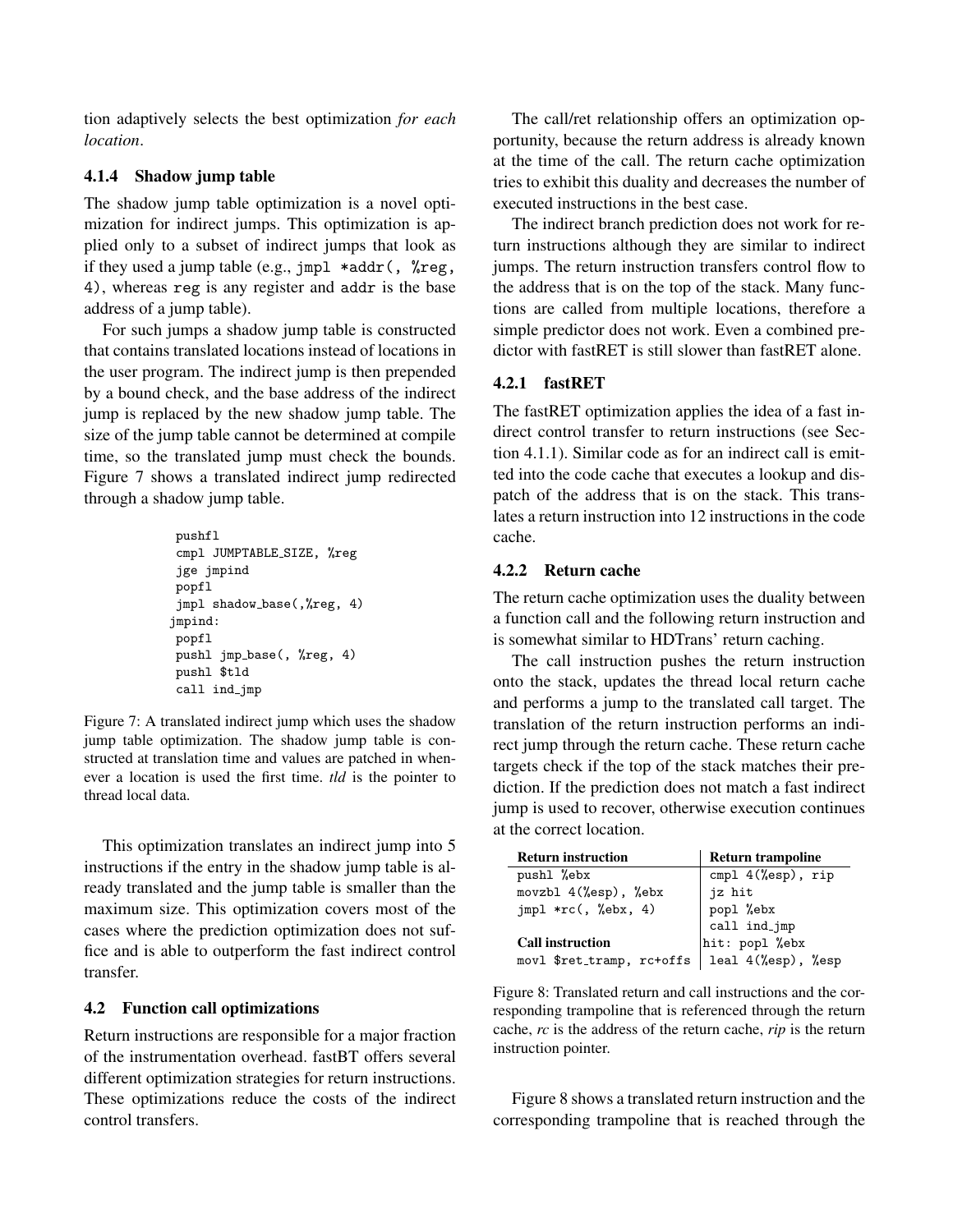tion adaptively selects the best optimization *for each location*.

# 4.1.4 Shadow jump table

The shadow jump table optimization is a novel optimization for indirect jumps. This optimization is applied only to a subset of indirect jumps that look as if they used a jump table (e.g.,  $jmp1 * addr$ ),  $%reg$ , 4), whereas reg is any register and addr is the base address of a jump table).

For such jumps a shadow jump table is constructed that contains translated locations instead of locations in the user program. The indirect jump is then prepended by a bound check, and the base address of the indirect jump is replaced by the new shadow jump table. The size of the jump table cannot be determined at compile time, so the translated jump must check the bounds. Figure 7 shows a translated indirect jump redirected through a shadow jump table.

```
pushfl
cmpl JUMPTABLE SIZE, %reg
jge jmpind
popfl
jmpl shadow_base(,%reg, 4)
jmpind:
popfl
pushl jmp base(, %reg, 4)
pushl $tld
call ind jmp
```
Figure 7: A translated indirect jump which uses the shadow jump table optimization. The shadow jump table is constructed at translation time and values are patched in whenever a location is used the first time. *tld* is the pointer to thread local data.

This optimization translates an indirect jump into 5 instructions if the entry in the shadow jump table is already translated and the jump table is smaller than the maximum size. This optimization covers most of the cases where the prediction optimization does not suffice and is able to outperform the fast indirect control transfer.

# 4.2 Function call optimizations

Return instructions are responsible for a major fraction of the instrumentation overhead. fastBT offers several different optimization strategies for return instructions. These optimizations reduce the costs of the indirect control transfers.

The call/ret relationship offers an optimization opportunity, because the return address is already known at the time of the call. The return cache optimization tries to exhibit this duality and decreases the number of executed instructions in the best case.

The indirect branch prediction does not work for return instructions although they are similar to indirect jumps. The return instruction transfers control flow to the address that is on the top of the stack. Many functions are called from multiple locations, therefore a simple predictor does not work. Even a combined predictor with fastRET is still slower than fastRET alone.

# 4.2.1 fastRET

The fastRET optimization applies the idea of a fast indirect control transfer to return instructions (see Section 4.1.1). Similar code as for an indirect call is emitted into the code cache that executes a lookup and dispatch of the address that is on the stack. This translates a return instruction into 12 instructions in the code cache.

# 4.2.2 Return cache

The return cache optimization uses the duality between a function call and the following return instruction and is somewhat similar to HDTrans' return caching.

The call instruction pushes the return instruction onto the stack, updates the thread local return cache and performs a jump to the translated call target. The translation of the return instruction performs an indirect jump through the return cache. These return cache targets check if the top of the stack matches their prediction. If the prediction does not match a fast indirect jump is used to recover, otherwise execution continues at the correct location.

| <b>Return instruction</b> | <b>Return trampoline</b>       |  |  |  |
|---------------------------|--------------------------------|--|--|--|
| pushl %ebx                | cmpl 4(%esp), rip              |  |  |  |
| movzbl 4(%esp), %ebx      | jz hit                         |  |  |  |
| $jmp1 * rc(, %ebx, 4)$    | $\mathtt{popl}$ %ebx           |  |  |  |
|                           |                                |  |  |  |
| <b>Call instruction</b>   | call ind_jmp<br>hit: popl %ebx |  |  |  |
| movl \$ret_tramp, rc+offs | leal 4(%esp), %esp             |  |  |  |

Figure 8: Translated return and call instructions and the corresponding trampoline that is referenced through the return cache, *rc* is the address of the return cache, *rip* is the return instruction pointer.

Figure 8 shows a translated return instruction and the corresponding trampoline that is reached through the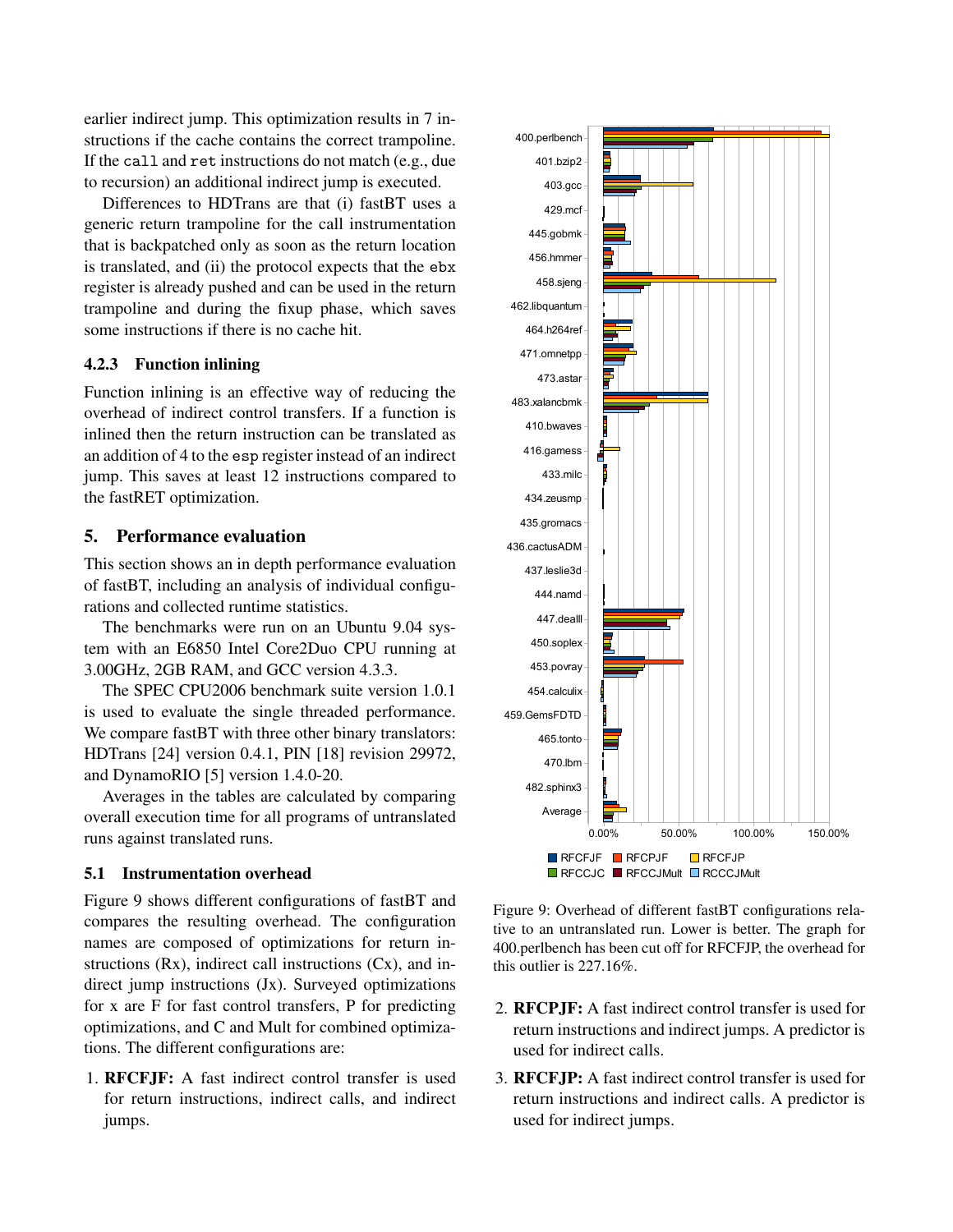earlier indirect jump. This optimization results in 7 instructions if the cache contains the correct trampoline. If the call and ret instructions do not match (e.g., due to recursion) an additional indirect jump is executed.

Differences to HDTrans are that (i) fastBT uses a generic return trampoline for the call instrumentation that is backpatched only as soon as the return location is translated, and (ii) the protocol expects that the ebx register is already pushed and can be used in the return trampoline and during the fixup phase, which saves some instructions if there is no cache hit.

### 4.2.3 Function inlining

Function inlining is an effective way of reducing the overhead of indirect control transfers. If a function is inlined then the return instruction can be translated as an addition of 4 to the esp register instead of an indirect jump. This saves at least 12 instructions compared to the fastRET optimization.

#### 5. Performance evaluation

This section shows an in depth performance evaluation of fastBT, including an analysis of individual configurations and collected runtime statistics.

The benchmarks were run on an Ubuntu 9.04 system with an E6850 Intel Core2Duo CPU running at 3.00GHz, 2GB RAM, and GCC version 4.3.3.

The SPEC CPU2006 benchmark suite version 1.0.1 is used to evaluate the single threaded performance. We compare fastBT with three other binary translators: HDTrans [24] version 0.4.1, PIN [18] revision 29972, and DynamoRIO [5] version 1.4.0-20.

Averages in the tables are calculated by comparing overall execution time for all programs of untranslated runs against translated runs.

### 5.1 Instrumentation overhead

Figure 9 shows different configurations of fastBT and compares the resulting overhead. The configuration names are composed of optimizations for return instructions (Rx), indirect call instructions (Cx), and indirect jump instructions (Jx). Surveyed optimizations for x are F for fast control transfers, P for predicting optimizations, and C and Mult for combined optimizations. The different configurations are:

1. RFCFJF: A fast indirect control transfer is used for return instructions, indirect calls, and indirect jumps.



Figure 9: Overhead of different fastBT configurations relative to an untranslated run. Lower is better. The graph for 400.perlbench has been cut off for RFCFJP, the overhead for

this outlier is 227.16%.

- 2. RFCPJF: A fast indirect control transfer is used for return instructions and indirect jumps. A predictor is used for indirect calls.
- 3. RFCFJP: A fast indirect control transfer is used for return instructions and indirect calls. A predictor is used for indirect jumps.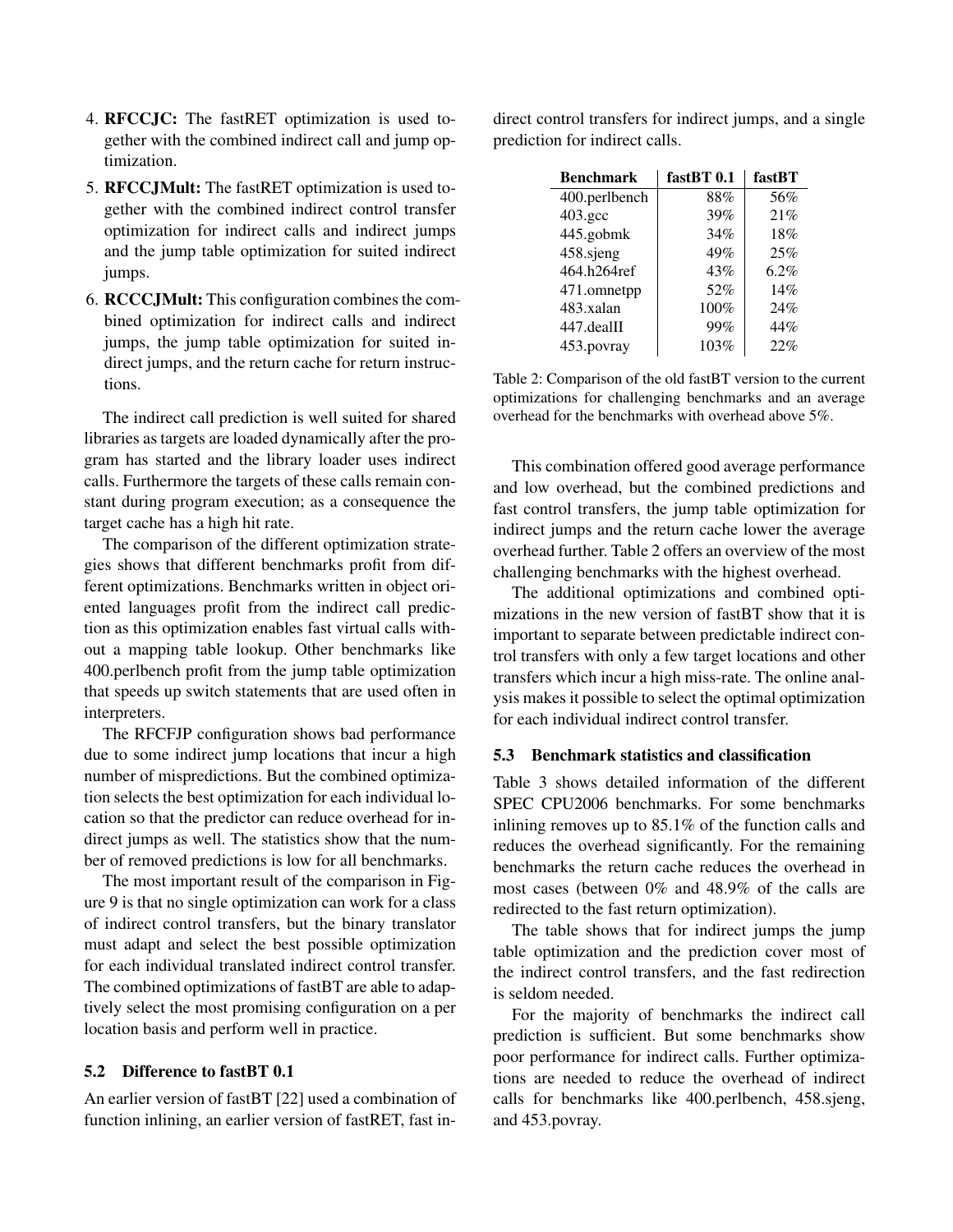- 4. RFCCJC: The fastRET optimization is used together with the combined indirect call and jump optimization.
- 5. RFCCJMult: The fastRET optimization is used together with the combined indirect control transfer optimization for indirect calls and indirect jumps and the jump table optimization for suited indirect jumps.
- 6. RCCCJMult: This configuration combines the combined optimization for indirect calls and indirect jumps, the jump table optimization for suited indirect jumps, and the return cache for return instructions.

The indirect call prediction is well suited for shared libraries as targets are loaded dynamically after the program has started and the library loader uses indirect calls. Furthermore the targets of these calls remain constant during program execution; as a consequence the target cache has a high hit rate.

The comparison of the different optimization strategies shows that different benchmarks profit from different optimizations. Benchmarks written in object oriented languages profit from the indirect call prediction as this optimization enables fast virtual calls without a mapping table lookup. Other benchmarks like 400.perlbench profit from the jump table optimization that speeds up switch statements that are used often in interpreters.

The RFCFJP configuration shows bad performance due to some indirect jump locations that incur a high number of mispredictions. But the combined optimization selects the best optimization for each individual location so that the predictor can reduce overhead for indirect jumps as well. The statistics show that the number of removed predictions is low for all benchmarks.

The most important result of the comparison in Figure 9 is that no single optimization can work for a class of indirect control transfers, but the binary translator must adapt and select the best possible optimization for each individual translated indirect control transfer. The combined optimizations of fastBT are able to adaptively select the most promising configuration on a per location basis and perform well in practice.

### 5.2 Difference to fastBT 0.1

An earlier version of fastBT [22] used a combination of function inlining, an earlier version of fastRET, fast indirect control transfers for indirect jumps, and a single prediction for indirect calls.

| <b>Benchmark</b> | fastBT 0.1 | fastBT |
|------------------|------------|--------|
| 400.perlbench    | 88%        | 56%    |
| $403.\text{gcc}$ | 39%        | 21%    |
| 445.gobmk        | 34%        | 18%    |
| 458.sjeng        | 49%        | 25%    |
| 464.h264ref      | 43%        | 6.2%   |
| 471.omnetpp      | 52%        | 14%    |
| 483.xalan        | 100%       | 24%    |
| 447.dealII       | 99%        | 44%    |
| 453.povray       | 103%       | 22%    |

Table 2: Comparison of the old fastBT version to the current optimizations for challenging benchmarks and an average overhead for the benchmarks with overhead above 5%.

This combination offered good average performance and low overhead, but the combined predictions and fast control transfers, the jump table optimization for indirect jumps and the return cache lower the average overhead further. Table 2 offers an overview of the most challenging benchmarks with the highest overhead.

The additional optimizations and combined optimizations in the new version of fastBT show that it is important to separate between predictable indirect control transfers with only a few target locations and other transfers which incur a high miss-rate. The online analysis makes it possible to select the optimal optimization for each individual indirect control transfer.

### 5.3 Benchmark statistics and classification

Table 3 shows detailed information of the different SPEC CPU2006 benchmarks. For some benchmarks inlining removes up to 85.1% of the function calls and reduces the overhead significantly. For the remaining benchmarks the return cache reduces the overhead in most cases (between 0% and 48.9% of the calls are redirected to the fast return optimization).

The table shows that for indirect jumps the jump table optimization and the prediction cover most of the indirect control transfers, and the fast redirection is seldom needed.

For the majority of benchmarks the indirect call prediction is sufficient. But some benchmarks show poor performance for indirect calls. Further optimizations are needed to reduce the overhead of indirect calls for benchmarks like 400.perlbench, 458.sjeng, and 453.povray.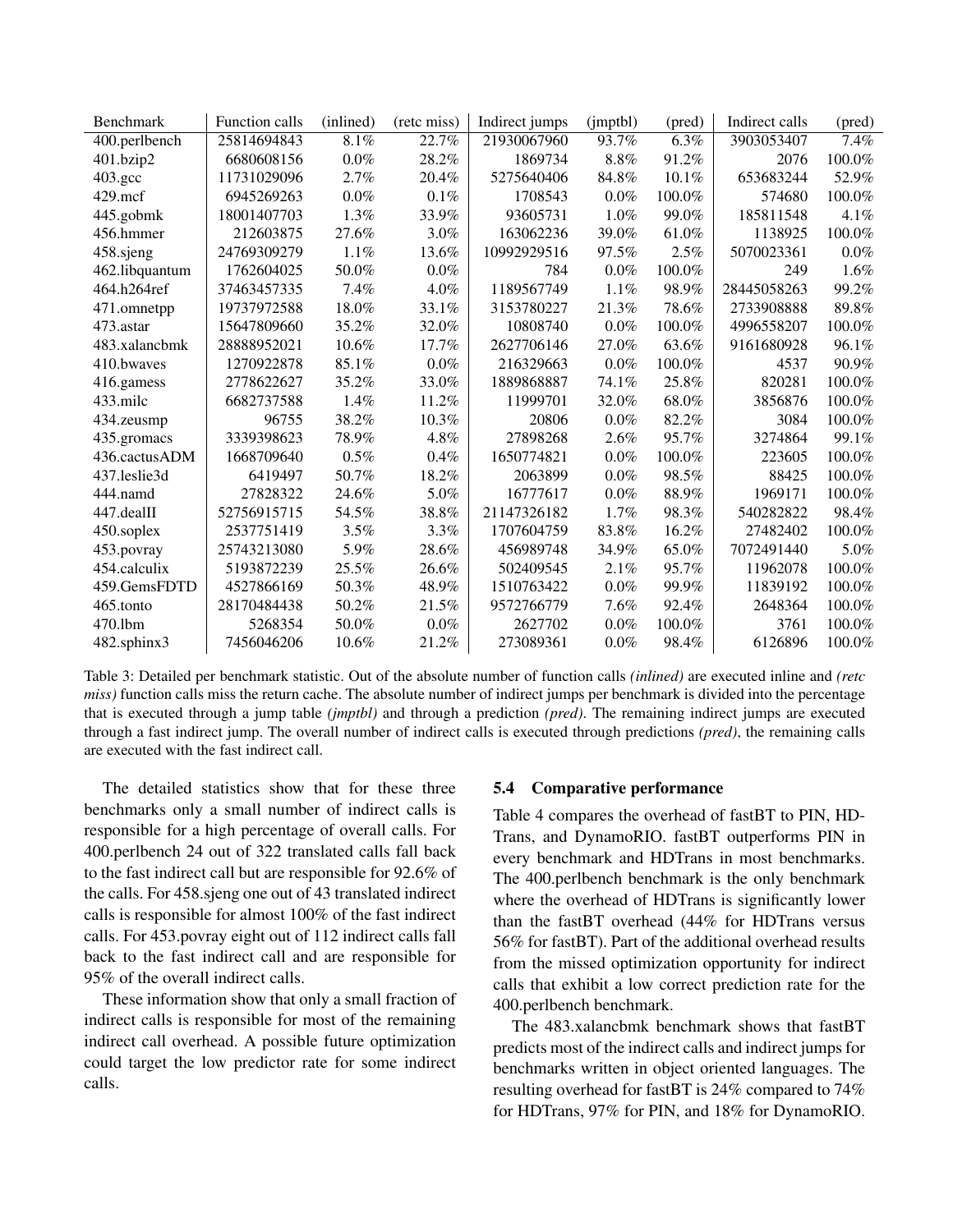| Benchmark        | Function calls | (inlined) | (retc miss) | Indirect jumps | (jmptbl) | (pred) | Indirect calls | (pred)  |
|------------------|----------------|-----------|-------------|----------------|----------|--------|----------------|---------|
| 400.perlbench    | 25814694843    | 8.1%      | 22.7%       | 21930067960    | 93.7%    | 6.3%   | 3903053407     | 7.4%    |
| 401.bzip2        | 6680608156     | $0.0\%$   | 28.2%       | 1869734        | 8.8%     | 91.2%  | 2076           | 100.0%  |
| $403.\text{gcc}$ | 11731029096    | 2.7%      | 20.4%       | 5275640406     | 84.8%    | 10.1%  | 653683244      | 52.9%   |
| $429$ .mcf       | 6945269263     | 0.0%      | $0.1\%$     | 1708543        | $0.0\%$  | 100.0% | 574680         | 100.0%  |
| 445.gobmk        | 18001407703    | 1.3%      | 33.9%       | 93605731       | $1.0\%$  | 99.0%  | 185811548      | 4.1%    |
| 456.hmmer        | 212603875      | 27.6%     | $3.0\%$     | 163062236      | 39.0%    | 61.0%  | 1138925        | 100.0%  |
| 458.sjeng        | 24769309279    | 1.1%      | 13.6%       | 10992929516    | 97.5%    | 2.5%   | 5070023361     | $0.0\%$ |
| 462.libquantum   | 1762604025     | 50.0%     | $0.0\%$     | 784            | $0.0\%$  | 100.0% | 249            | 1.6%    |
| 464.h264ref      | 37463457335    | 7.4%      | $4.0\%$     | 1189567749     | 1.1%     | 98.9%  | 28445058263    | 99.2%   |
| 471.omnetpp      | 19737972588    | 18.0%     | 33.1%       | 3153780227     | 21.3%    | 78.6%  | 2733908888     | 89.8%   |
| 473.astar        | 15647809660    | 35.2%     | 32.0%       | 10808740       | $0.0\%$  | 100.0% | 4996558207     | 100.0%  |
| 483.xalancbmk    | 28888952021    | 10.6%     | 17.7%       | 2627706146     | 27.0%    | 63.6%  | 9161680928     | 96.1%   |
| 410.bwaves       | 1270922878     | 85.1%     | $0.0\%$     | 216329663      | $0.0\%$  | 100.0% | 4537           | 90.9%   |
| 416.gamess       | 2778622627     | 35.2%     | 33.0%       | 1889868887     | 74.1%    | 25.8%  | 820281         | 100.0%  |
| 433.milc         | 6682737588     | 1.4%      | 11.2%       | 11999701       | 32.0%    | 68.0%  | 3856876        | 100.0%  |
| 434.zeusmp       | 96755          | 38.2%     | $10.3\%$    | 20806          | $0.0\%$  | 82.2%  | 3084           | 100.0%  |
| 435.gromacs      | 3339398623     | 78.9%     | 4.8%        | 27898268       | $2.6\%$  | 95.7%  | 3274864        | 99.1%   |
| 436.cactusADM    | 1668709640     | 0.5%      | 0.4%        | 1650774821     | $0.0\%$  | 100.0% | 223605         | 100.0%  |
| 437.leslie3d     | 6419497        | 50.7%     | 18.2%       | 2063899        | $0.0\%$  | 98.5%  | 88425          | 100.0%  |
| 444.namd         | 27828322       | 24.6%     | 5.0%        | 16777617       | $0.0\%$  | 88.9%  | 1969171        | 100.0%  |
| 447.dealII       | 52756915715    | 54.5%     | 38.8%       | 21147326182    | $1.7\%$  | 98.3%  | 540282822      | 98.4%   |
| 450.soplex       | 2537751419     | $3.5\%$   | 3.3%        | 1707604759     | 83.8%    | 16.2%  | 27482402       | 100.0%  |
| 453.povray       | 25743213080    | 5.9%      | 28.6%       | 456989748      | 34.9%    | 65.0%  | 7072491440     | 5.0%    |
| 454.calculix     | 5193872239     | 25.5%     | 26.6%       | 502409545      | 2.1%     | 95.7%  | 11962078       | 100.0%  |
| 459.GemsFDTD     | 4527866169     | 50.3%     | 48.9%       | 1510763422     | $0.0\%$  | 99.9%  | 11839192       | 100.0%  |
| 465.tonto        | 28170484438    | 50.2%     | 21.5%       | 9572766779     | $7.6\%$  | 92.4%  | 2648364        | 100.0%  |
| 470.1bm          | 5268354        | 50.0%     | $0.0\%$     | 2627702        | $0.0\%$  | 100.0% | 3761           | 100.0%  |
| 482.sphinx3      | 7456046206     | 10.6%     | 21.2%       | 273089361      | $0.0\%$  | 98.4%  | 6126896        | 100.0%  |

Table 3: Detailed per benchmark statistic. Out of the absolute number of function calls *(inlined)* are executed inline and *(retc miss*) function calls miss the return cache. The absolute number of indirect jumps per benchmark is divided into the percentage that is executed through a jump table *(jmptbl)* and through a prediction *(pred)*. The remaining indirect jumps are executed through a fast indirect jump. The overall number of indirect calls is executed through predictions *(pred)*, the remaining calls are executed with the fast indirect call.

The detailed statistics show that for these three benchmarks only a small number of indirect calls is responsible for a high percentage of overall calls. For 400.perlbench 24 out of 322 translated calls fall back to the fast indirect call but are responsible for 92.6% of the calls. For 458.sjeng one out of 43 translated indirect calls is responsible for almost 100% of the fast indirect calls. For 453.povray eight out of 112 indirect calls fall back to the fast indirect call and are responsible for 95% of the overall indirect calls.

These information show that only a small fraction of indirect calls is responsible for most of the remaining indirect call overhead. A possible future optimization could target the low predictor rate for some indirect calls.

#### 5.4 Comparative performance

Table 4 compares the overhead of fastBT to PIN, HD-Trans, and DynamoRIO. fastBT outperforms PIN in every benchmark and HDTrans in most benchmarks. The 400.perlbench benchmark is the only benchmark where the overhead of HDTrans is significantly lower than the fastBT overhead (44% for HDTrans versus 56% for fastBT). Part of the additional overhead results from the missed optimization opportunity for indirect calls that exhibit a low correct prediction rate for the 400.perlbench benchmark.

The 483.xalancbmk benchmark shows that fastBT predicts most of the indirect calls and indirect jumps for benchmarks written in object oriented languages. The resulting overhead for fastBT is 24% compared to 74% for HDTrans, 97% for PIN, and 18% for DynamoRIO.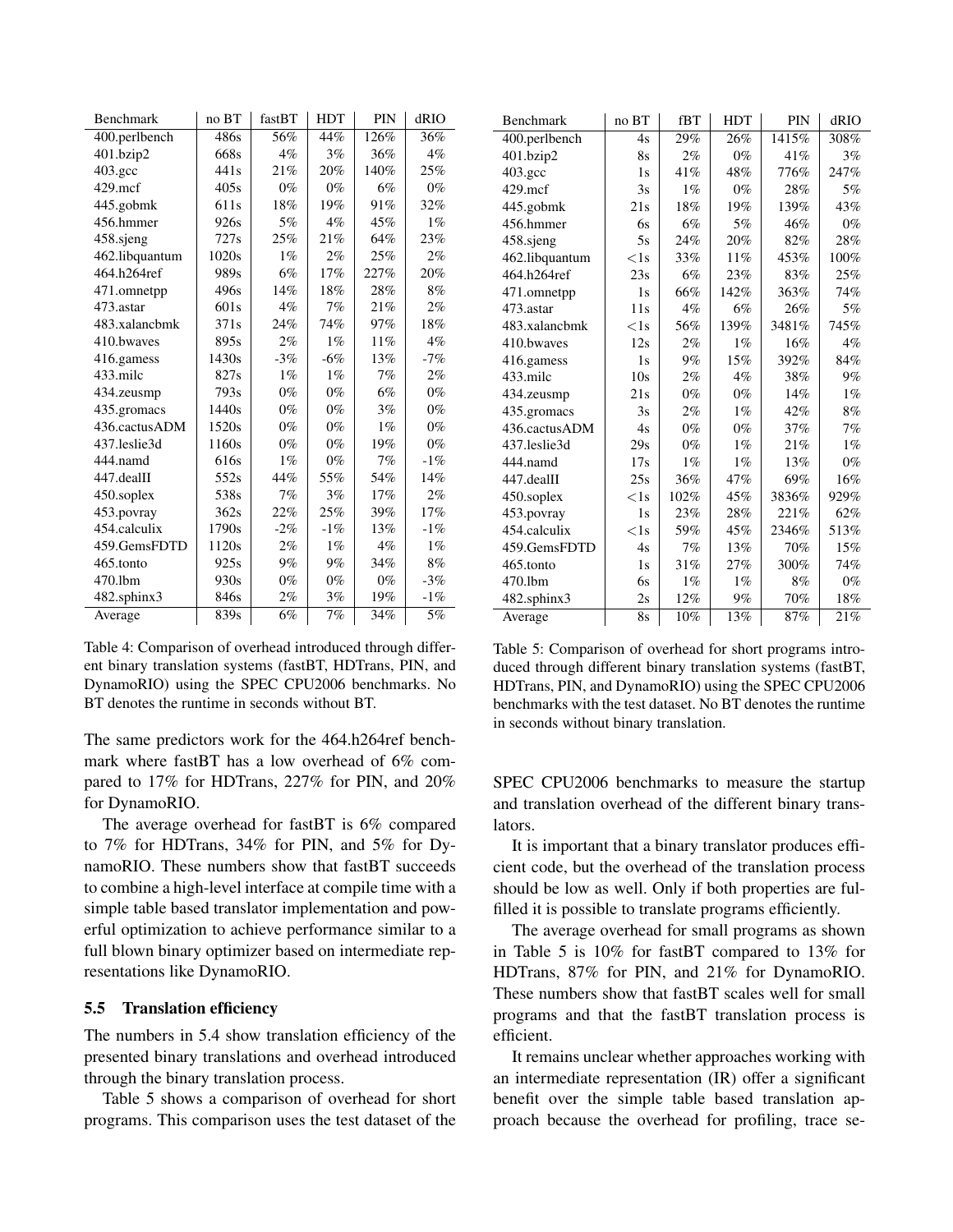| Benchmark      | no BT            | fastBT | HDT    | PIN   | dRIO   |
|----------------|------------------|--------|--------|-------|--------|
| 400.perlbench  | 486s             | 56%    | 44%    | 126%  | 36%    |
| 401.bzip2      | 668s             | $4\%$  | $3\%$  | 36%   | 4%     |
| 403.gcc        | 441s             | 21%    | 20%    | 140%  | 25%    |
| $429$ .mcf     | 405s             | $0\%$  | $0\%$  | 6%    | $0\%$  |
| 445.gobmk      | 611 <sub>s</sub> | 18%    | 19%    | 91%   | 32%    |
| 456.hmmer      | 926s             | 5%     | $4\%$  | 45%   | $1\%$  |
| 458.sjeng      | 727s             | 25%    | 21%    | 64%   | 23%    |
| 462.libquantum | 1020s            | $1\%$  | $2\%$  | 25%   | 2%     |
| 464.h264ref    | 989s             | 6%     | 17%    | 227%  | 20%    |
| 471.omnetpp    | 496s             | 14%    | 18%    | 28%   | 8%     |
| 473.astar      | 601 <sub>s</sub> | $4\%$  | 7%     | 21%   | $2\%$  |
| 483.xalancbmk  | 371s             | 24%    | 74%    | 97%   | $18\%$ |
| 410.bwaves     | 895s             | $2\%$  | $1\%$  | 11%   | $4\%$  |
| 416.gamess     | 1430s            | $-3\%$ | $-6%$  | 13%   | $-7%$  |
| 433.milc       | 827s             | $1\%$  | $1\%$  | 7%    | $2\%$  |
| 434.zeusmp     | 793s             | $0\%$  | $0\%$  | 6%    | $0\%$  |
| 435.gromacs    | 1440s            | $0\%$  | $0\%$  | $3\%$ | $0\%$  |
| 436.cactusADM  | 1520s            | $0\%$  | $0\%$  | $1\%$ | $0\%$  |
| 437.leslie3d   | 1160s            | $0\%$  | $0\%$  | 19%   | $0\%$  |
| 444.namd       | 616s             | $1\%$  | $0\%$  | 7%    | $-1%$  |
| 447.dealII     | 552s             | 44%    | 55%    | 54%   | 14%    |
| 450.soplex     | 538s             | 7%     | $3\%$  | 17%   | $2\%$  |
| 453.povray     | 362s             | 22%    | 25%    | 39%   | 17%    |
| 454.calculix   | 1790s            | $-2\%$ | $-1\%$ | 13%   | $-1%$  |
| 459.GemsFDTD   | 1120s            | $2\%$  | $1\%$  | $4\%$ | $1\%$  |
| 465.tonto      | 925s             | $9\%$  | $9\%$  | 34%   | 8%     |
| 470.1bm        | 930s             | $0\%$  | $0\%$  | $0\%$ | $-3%$  |
| 482.sphinx3    | 846s             | $2\%$  | 3%     | 19%   | $-1%$  |
| Average        | 839s             | 6%     | $7\%$  | 34%   | 5%     |

Table 4: Comparison of overhead introduced through different binary translation systems (fastBT, HDTrans, PIN, and DynamoRIO) using the SPEC CPU2006 benchmarks. No BT denotes the runtime in seconds without BT.

The same predictors work for the 464.h264ref benchmark where fastBT has a low overhead of 6% compared to 17% for HDTrans, 227% for PIN, and 20% for DynamoRIO.

The average overhead for fastBT is 6% compared to 7% for HDTrans, 34% for PIN, and 5% for DynamoRIO. These numbers show that fastBT succeeds to combine a high-level interface at compile time with a simple table based translator implementation and powerful optimization to achieve performance similar to a full blown binary optimizer based on intermediate representations like DynamoRIO.

### 5.5 Translation efficiency

The numbers in 5.4 show translation efficiency of the presented binary translations and overhead introduced through the binary translation process.

Table 5 shows a comparison of overhead for short programs. This comparison uses the test dataset of the

| <b>Benchmark</b>            | no BT        | fBT   | <b>HDT</b> | <b>PIN</b> | dRIO  |
|-----------------------------|--------------|-------|------------|------------|-------|
| $\overline{400}$ .perlbench | 4s           | 29%   | 26%        | 1415%      | 308%  |
| 401.bzip2                   | 8s           | 2%    | $0\%$      | 41%        | 3%    |
| $403.\text{gcc}$            | 1s           | 41%   | 48%        | 776%       | 247%  |
| $429$ .mcf                  | 3s           | $1\%$ | $0\%$      | 28%        | 5%    |
| 445.gobmk                   | 21s          | 18%   | 19%        | 139%       | 43%   |
| 456.hmmer                   | 6s           | 6%    | 5%         | 46%        | $0\%$ |
| 458.sjeng                   | 5s           | 24%   | 20%        | 82%        | 28%   |
| 462.libquantum              | $<$ 1s       | 33%   | 11%        | 453%       | 100%  |
| 464.h264ref                 | 23s          | 6%    | 23%        | 83%        | 25%   |
| 471.omnetpp                 | 1s           | 66%   | 142%       | 363%       | 74%   |
| 473.astar                   | 11s          | $4\%$ | 6%         | 26%        | 5%    |
| 483.xalancbmk               | $<$ 1s       | 56%   | 139%       | 3481%      | 745%  |
| 410.bwaves                  | 12s          | $2\%$ | $1\%$      | 16%        | $4\%$ |
| 416.gamess                  | 1s           | 9%    | 15%        | 392%       | 84%   |
| 433.milc                    | 10s          | 2%    | $4\%$      | 38%        | 9%    |
| 434.zeusmp                  | 21s          | $0\%$ | $0\%$      | 14%        | $1\%$ |
| 435.gromacs                 | 3s           | 2%    | $1\%$      | 42%        | 8%    |
| 436.cactusADM               | 4s           | $0\%$ | $0\%$      | 37%        | 7%    |
| 437.leslie3d                | 29s          | $0\%$ | $1\%$      | 21%        | $1\%$ |
| 444.namd                    | 17s          | $1\%$ | $1\%$      | 13%        | $0\%$ |
| 447.dealII                  | 25s          | 36%   | 47%        | 69%        | 16%   |
| 450.soplex                  | $\langle$ 1s | 102%  | 45%        | 3836%      | 929%  |
| 453.povray                  | 1s           | 23%   | 28%        | 221%       | 62%   |
| 454.calculix                | $<$ 1s       | 59%   | 45%        | 2346%      | 513%  |
| 459.GemsFDTD                | 4s           | 7%    | 13%        | 70%        | 15%   |
| 465.tonto                   | 1s           | 31%   | 27%        | 300%       | 74%   |
| 470.1bm                     | 6s           | $1\%$ | $1\%$      | 8%         | $0\%$ |
| 482.sphinx3                 | 2s           | 12%   | 9%         | 70%        | 18%   |
| Average                     | <b>8s</b>    | 10%   | 13%        | 87%        | 21%   |

Table 5: Comparison of overhead for short programs introduced through different binary translation systems (fastBT, HDTrans, PIN, and DynamoRIO) using the SPEC CPU2006 benchmarks with the test dataset. No BT denotes the runtime in seconds without binary translation.

SPEC CPU2006 benchmarks to measure the startup and translation overhead of the different binary translators.

It is important that a binary translator produces efficient code, but the overhead of the translation process should be low as well. Only if both properties are fulfilled it is possible to translate programs efficiently.

The average overhead for small programs as shown in Table 5 is 10% for fastBT compared to 13% for HDTrans, 87% for PIN, and 21% for DynamoRIO. These numbers show that fastBT scales well for small programs and that the fastBT translation process is efficient.

It remains unclear whether approaches working with an intermediate representation (IR) offer a significant benefit over the simple table based translation approach because the overhead for profiling, trace se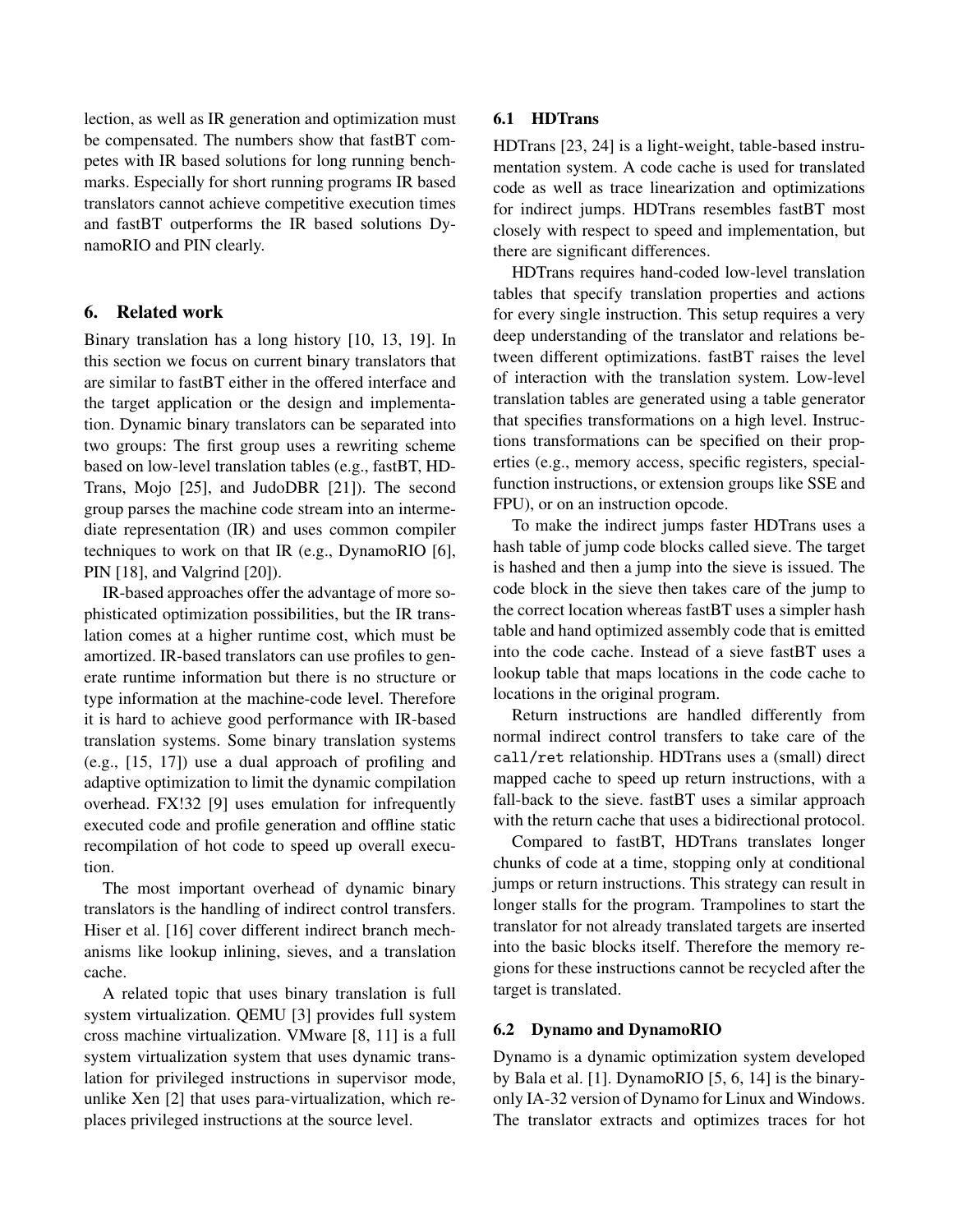lection, as well as IR generation and optimization must be compensated. The numbers show that fastBT competes with IR based solutions for long running benchmarks. Especially for short running programs IR based translators cannot achieve competitive execution times and fastBT outperforms the IR based solutions DynamoRIO and PIN clearly.

### 6. Related work

Binary translation has a long history [10, 13, 19]. In this section we focus on current binary translators that are similar to fastBT either in the offered interface and the target application or the design and implementation. Dynamic binary translators can be separated into two groups: The first group uses a rewriting scheme based on low-level translation tables (e.g., fastBT, HD-Trans, Mojo [25], and JudoDBR [21]). The second group parses the machine code stream into an intermediate representation (IR) and uses common compiler techniques to work on that IR (e.g., DynamoRIO [6], PIN [18], and Valgrind [20]).

IR-based approaches offer the advantage of more sophisticated optimization possibilities, but the IR translation comes at a higher runtime cost, which must be amortized. IR-based translators can use profiles to generate runtime information but there is no structure or type information at the machine-code level. Therefore it is hard to achieve good performance with IR-based translation systems. Some binary translation systems (e.g., [15, 17]) use a dual approach of profiling and adaptive optimization to limit the dynamic compilation overhead. FX!32 [9] uses emulation for infrequently executed code and profile generation and offline static recompilation of hot code to speed up overall execution.

The most important overhead of dynamic binary translators is the handling of indirect control transfers. Hiser et al. [16] cover different indirect branch mechanisms like lookup inlining, sieves, and a translation cache.

A related topic that uses binary translation is full system virtualization. QEMU [3] provides full system cross machine virtualization. VMware [8, 11] is a full system virtualization system that uses dynamic translation for privileged instructions in supervisor mode, unlike Xen [2] that uses para-virtualization, which replaces privileged instructions at the source level.

# 6.1 HDTrans

HDTrans [23, 24] is a light-weight, table-based instrumentation system. A code cache is used for translated code as well as trace linearization and optimizations for indirect jumps. HDTrans resembles fastBT most closely with respect to speed and implementation, but there are significant differences.

HDTrans requires hand-coded low-level translation tables that specify translation properties and actions for every single instruction. This setup requires a very deep understanding of the translator and relations between different optimizations. fastBT raises the level of interaction with the translation system. Low-level translation tables are generated using a table generator that specifies transformations on a high level. Instructions transformations can be specified on their properties (e.g., memory access, specific registers, specialfunction instructions, or extension groups like SSE and FPU), or on an instruction opcode.

To make the indirect jumps faster HDTrans uses a hash table of jump code blocks called sieve. The target is hashed and then a jump into the sieve is issued. The code block in the sieve then takes care of the jump to the correct location whereas fastBT uses a simpler hash table and hand optimized assembly code that is emitted into the code cache. Instead of a sieve fastBT uses a lookup table that maps locations in the code cache to locations in the original program.

Return instructions are handled differently from normal indirect control transfers to take care of the call/ret relationship. HDTrans uses a (small) direct mapped cache to speed up return instructions, with a fall-back to the sieve. fastBT uses a similar approach with the return cache that uses a bidirectional protocol.

Compared to fastBT, HDTrans translates longer chunks of code at a time, stopping only at conditional jumps or return instructions. This strategy can result in longer stalls for the program. Trampolines to start the translator for not already translated targets are inserted into the basic blocks itself. Therefore the memory regions for these instructions cannot be recycled after the target is translated.

### 6.2 Dynamo and DynamoRIO

Dynamo is a dynamic optimization system developed by Bala et al. [1]. DynamoRIO [5, 6, 14] is the binaryonly IA-32 version of Dynamo for Linux and Windows. The translator extracts and optimizes traces for hot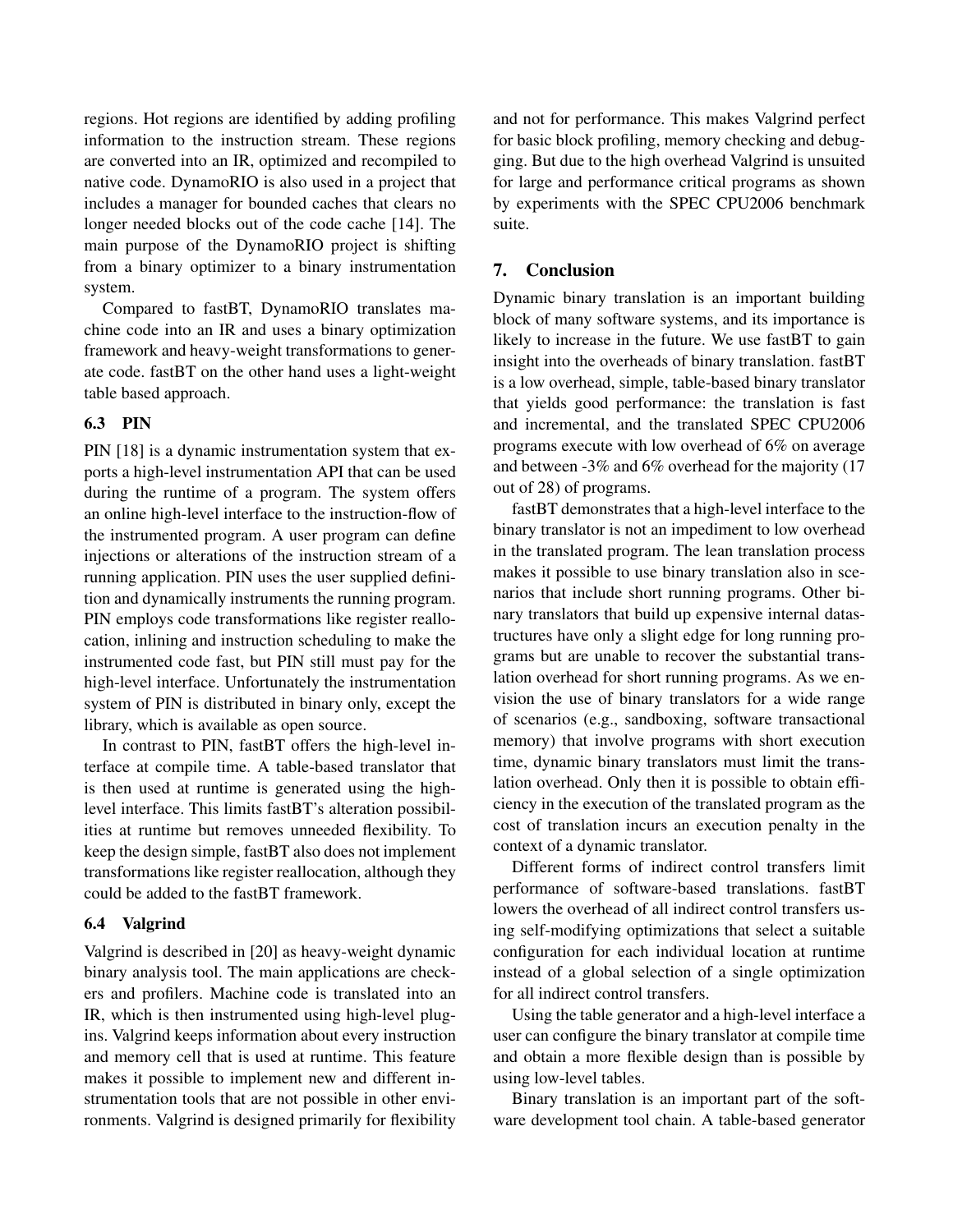regions. Hot regions are identified by adding profiling information to the instruction stream. These regions are converted into an IR, optimized and recompiled to native code. DynamoRIO is also used in a project that includes a manager for bounded caches that clears no longer needed blocks out of the code cache [14]. The main purpose of the DynamoRIO project is shifting from a binary optimizer to a binary instrumentation system.

Compared to fastBT, DynamoRIO translates machine code into an IR and uses a binary optimization framework and heavy-weight transformations to generate code. fastBT on the other hand uses a light-weight table based approach.

### 6.3 PIN

PIN [18] is a dynamic instrumentation system that exports a high-level instrumentation API that can be used during the runtime of a program. The system offers an online high-level interface to the instruction-flow of the instrumented program. A user program can define injections or alterations of the instruction stream of a running application. PIN uses the user supplied definition and dynamically instruments the running program. PIN employs code transformations like register reallocation, inlining and instruction scheduling to make the instrumented code fast, but PIN still must pay for the high-level interface. Unfortunately the instrumentation system of PIN is distributed in binary only, except the library, which is available as open source.

In contrast to PIN, fastBT offers the high-level interface at compile time. A table-based translator that is then used at runtime is generated using the highlevel interface. This limits fastBT's alteration possibilities at runtime but removes unneeded flexibility. To keep the design simple, fastBT also does not implement transformations like register reallocation, although they could be added to the fastBT framework.

### 6.4 Valgrind

Valgrind is described in [20] as heavy-weight dynamic binary analysis tool. The main applications are checkers and profilers. Machine code is translated into an IR, which is then instrumented using high-level plugins. Valgrind keeps information about every instruction and memory cell that is used at runtime. This feature makes it possible to implement new and different instrumentation tools that are not possible in other environments. Valgrind is designed primarily for flexibility

and not for performance. This makes Valgrind perfect for basic block profiling, memory checking and debugging. But due to the high overhead Valgrind is unsuited for large and performance critical programs as shown by experiments with the SPEC CPU2006 benchmark suite.

### 7. Conclusion

Dynamic binary translation is an important building block of many software systems, and its importance is likely to increase in the future. We use fastBT to gain insight into the overheads of binary translation. fastBT is a low overhead, simple, table-based binary translator that yields good performance: the translation is fast and incremental, and the translated SPEC CPU2006 programs execute with low overhead of 6% on average and between -3% and 6% overhead for the majority (17 out of 28) of programs.

fastBT demonstrates that a high-level interface to the binary translator is not an impediment to low overhead in the translated program. The lean translation process makes it possible to use binary translation also in scenarios that include short running programs. Other binary translators that build up expensive internal datastructures have only a slight edge for long running programs but are unable to recover the substantial translation overhead for short running programs. As we envision the use of binary translators for a wide range of scenarios (e.g., sandboxing, software transactional memory) that involve programs with short execution time, dynamic binary translators must limit the translation overhead. Only then it is possible to obtain efficiency in the execution of the translated program as the cost of translation incurs an execution penalty in the context of a dynamic translator.

Different forms of indirect control transfers limit performance of software-based translations. fastBT lowers the overhead of all indirect control transfers using self-modifying optimizations that select a suitable configuration for each individual location at runtime instead of a global selection of a single optimization for all indirect control transfers.

Using the table generator and a high-level interface a user can configure the binary translator at compile time and obtain a more flexible design than is possible by using low-level tables.

Binary translation is an important part of the software development tool chain. A table-based generator